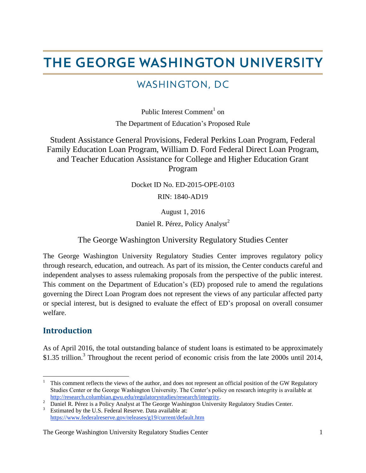# THE GEORGE WASHINGTON UNIVERSITY

# WASHINGTON, DC

Public Interest Comment<sup>1</sup> on The Department of Education's Proposed Rule

Student Assistance General Provisions, Federal Perkins Loan Program, Federal Family Education Loan Program, William D. Ford Federal Direct Loan Program, and Teacher Education Assistance for College and Higher Education Grant Program

Docket ID No. ED-2015-OPE-0103

RIN: 1840-AD19

August 1, 2016

Daniel R. Pérez, Policy Analyst<sup>2</sup>

#### The George Washington University Regulatory Studies Center

The George Washington University Regulatory Studies Center improves regulatory policy through research, education, and outreach. As part of its mission, the Center conducts careful and independent analyses to assess rulemaking proposals from the perspective of the public interest. This comment on the Department of Education's (ED) proposed rule to amend the regulations governing the Direct Loan Program does not represent the views of any particular affected party or special interest, but is designed to evaluate the effect of ED's proposal on overall consumer welfare.

#### **Introduction**

As of April 2016, the total outstanding balance of student loans is estimated to be approximately \$1.35 trillion.<sup>3</sup> Throughout the recent period of economic crisis from the late 2000s until 2014,

 $\mathbf{1}$ <sup>1</sup> This comment reflects the views of the author, and does not represent an official position of the GW Regulatory Studies Center or the George Washington University. The Center's policy on research integrity is available at [http://research.columbian.gwu.edu/regulatorystudies/research/integrity.](http://research.columbian.gwu.edu/regulatorystudies/research/integrity)

<sup>&</sup>lt;sup>2</sup> Daniel R. Pérez is a Policy Analyst at The George Washington University Regulatory Studies Center. Estimated by the U.S. Federal Reserve. Data available at:

<https://www.federalreserve.gov/releases/g19/current/default.htm>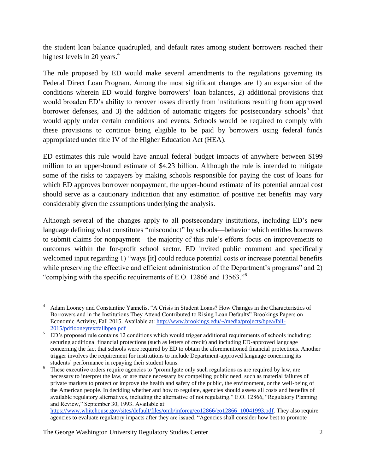the student loan balance quadrupled, and default rates among student borrowers reached their highest levels in 20 years. $4$ 

The rule proposed by ED would make several amendments to the regulations governing its Federal Direct Loan Program. Among the most significant changes are 1) an expansion of the conditions wherein ED would forgive borrowers' loan balances, 2) additional provisions that would broaden ED's ability to recover losses directly from institutions resulting from approved borrower defenses, and 3) the addition of automatic triggers for postsecondary schools<sup>5</sup> that would apply under certain conditions and events. Schools would be required to comply with these provisions to continue being eligible to be paid by borrowers using federal funds appropriated under title IV of the Higher Education Act (HEA).

ED estimates this rule would have annual federal budget impacts of anywhere between \$199 million to an upper-bound estimate of \$4.23 billion. Although the rule is intended to mitigate some of the risks to taxpayers by making schools responsible for paying the cost of loans for which ED approves borrower nonpayment, the upper-bound estimate of its potential annual cost should serve as a cautionary indication that any estimation of positive net benefits may vary considerably given the assumptions underlying the analysis.

Although several of the changes apply to all postsecondary institutions, including ED's new language defining what constitutes "misconduct" by schools—behavior which entitles borrowers to submit claims for nonpayment—the majority of this rule's efforts focus on improvements to outcomes within the for-profit school sector. ED invited public comment and specifically welcomed input regarding 1) "ways [it] could reduce potential costs or increase potential benefits while preserving the effective and efficient administration of the Department's programs" and 2) "complying with the specific requirements of E.O. 12866 and 13563."<sup>6</sup>

[https://www.whitehouse.gov/sites/default/files/omb/inforeg/eo12866/eo12866\\_10041993.pdf.](https://www.whitehouse.gov/sites/default/files/omb/inforeg/eo12866/eo12866_10041993.pdf%20f) They also require agencies to evaluate regulatory impacts after they are issued. "Agencies shall consider how best to promote

 $\overline{a}$ <sup>4</sup> Adam Looney and Constantine Yannelis, "A Crisis in Student Loans? How Changes in the Characteristics of Borrowers and in the Institutions They Attend Contributed to Rising Loan Defaults" Brookings Papers on Economic Activity, Fall 2015. Available at: [http://www.brookings.edu/~/media/projects/bpea/fall-](http://www.brookings.edu/~/media/projects/bpea/fall-2015/pdflooneytextfallbpea.pdf)[2015/pdflooneytextfallbpea.pdf](http://www.brookings.edu/~/media/projects/bpea/fall-2015/pdflooneytextfallbpea.pdf)

<sup>&</sup>lt;sup>5</sup> ED's proposed rule contains 12 conditions which would trigger additional requirements of schools including: securing additional financial protections (such as letters of credit) and including ED-approved language concerning the fact that schools were required by ED to obtain the aforementioned financial protections. Another trigger involves the requirement for institutions to include Department-approved language concerning its students' performance in repaying their student loans.

<sup>&</sup>lt;sup>6</sup> These executive orders require agencies to "promulgate only such regulations as are required by law, are necessary to interpret the law, or are made necessary by compelling public need, such as material failures of private markets to protect or improve the health and safety of the public, the environment, or the well-being of the American people. In deciding whether and how to regulate, agencies should assess all costs and benefits of available regulatory alternatives, including the alternative of not regulating." E.O. 12866, "Regulatory Planning and Review," September 30, 1993. Available at: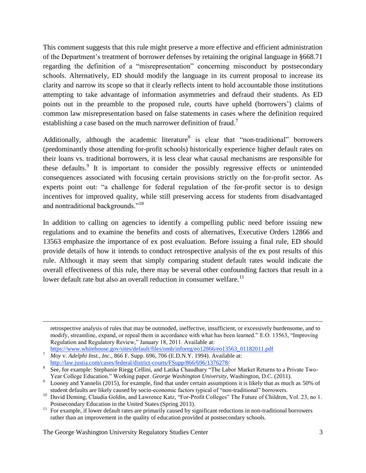This comment suggests that this rule might preserve a more effective and efficient administration of the Department's treatment of borrower defenses by retaining the original language in §668.71 regarding the definition of a "misrepresentation" concerning misconduct by postsecondary schools. Alternatively, ED should modify the language in its current proposal to increase its clarity and narrow its scope so that it clearly reflects intent to hold accountable those institutions attempting to take advantage of information asymmetries and defraud their students. As ED points out in the preamble to the proposed rule, courts have upheld (borrowers') claims of common law misrepresentation based on false statements in cases where the definition required establishing a case based on the much narrower definition of fraud.<sup>7</sup>

Additionally, although the academic literature is clear that "non-traditional" borrowers (predominantly those attending for-profit schools) historically experience higher default rates on their loans vs. traditional borrowers, it is less clear what causal mechanisms are responsible for these defaults.<sup>9</sup> It is important to consider the possibly regressive effects or unintended consequences associated with focusing certain provisions strictly on the for-profit sector. As experts point out: "a challenge for federal regulation of the for-profit sector is to design incentives for improved quality, while still preserving access for students from disadvantaged and nontraditional backgrounds."<sup>10</sup>

In addition to calling on agencies to identify a compelling public need before issuing new regulations and to examine the benefits and costs of alternatives, Executive Orders 12866 and 13563 emphasize the importance of ex post evaluation. Before issuing a final rule, ED should provide details of how it intends to conduct retrospective analysis of the ex post results of this rule. Although it may seem that simply comparing student default rates would indicate the overall effectiveness of this rule, there may be several other confounding factors that result in a lower default rate but also an overall reduction in consumer welfare.<sup>11</sup>

 $\overline{a}$ 

retrospective analysis of rules that may be outmoded, ineffective, insufficient, or excessively burdensome, and to modify, streamline, expand, or repeal them in accordance with what has been learned." E.O. 13563, "Improving Regulation and Regulatory Review," January 18, 2011. Available at:

[https://www.whitehouse.gov/sites/default/files/omb/inforeg/eo12866/eo13563\\_01182011.pdf](https://www.whitehouse.gov/sites/default/files/omb/inforeg/eo12866/eo13563_01182011.pdf)

<sup>7</sup> *Moy* v. *Adelphi Inst., Inc.,* 866 F. Supp. 696, 706 (E.D.N.Y. 1994). Available at: <http://law.justia.com/cases/federal/district-courts/FSupp/866/696/1376278/>

<sup>8</sup> See, for example: Stephanie Riegg Cellini, and Latika Chaudhary "The Labor Market Returns to a Private Two-Year College Education." Working paper. *George Washington University*, Washington, D.C. (2011).

Looney and Yannelis (2015), for example, find that under certain assumptions it is likely that as much as 50% of student defaults are likely caused by socio-economic factors typical of "non-traditional" borrowers.

<sup>&</sup>lt;sup>10</sup> David Deming, Claudia Goldin, and Lawrence Katz, "For-Profit Colleges" The Future of Children, Vol. 23, no 1. Postsecondary Education in the United States (Spring 2013).

<sup>&</sup>lt;sup>11</sup> For example, if lower default rates are primarily caused by significant reductions in non-traditional borrowers rather than an improvement in the quality of education provided at postsecondary schools.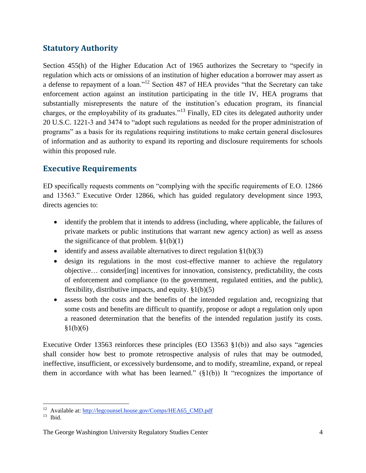# **Statutory Authority**

Section 455(h) of the Higher Education Act of 1965 authorizes the Secretary to "specify in regulation which acts or omissions of an institution of higher education a borrower may assert as a defense to repayment of a loan."<sup>12</sup> Section 487 of HEA provides "that the Secretary can take enforcement action against an institution participating in the title IV, HEA programs that substantially misrepresents the nature of the institution's education program, its financial charges, or the employability of its graduates."<sup>13</sup> Finally, ED cites its delegated authority under 20 U.S.C. 1221-3 and 3474 to "adopt such regulations as needed for the proper administration of programs" as a basis for its regulations requiring institutions to make certain general disclosures of information and as authority to expand its reporting and disclosure requirements for schools within this proposed rule.

#### **Executive Requirements**

ED specifically requests comments on "complying with the specific requirements of E.O. 12866 and 13563." Executive Order 12866, which has guided regulatory development since 1993, directs agencies to:

- identify the problem that it intends to address (including, where applicable, the failures of private markets or public institutions that warrant new agency action) as well as assess the significance of that problem.  $\S1(b)(1)$
- identify and assess available alternatives to direct regulation  $\S1(b)(3)$
- design its regulations in the most cost-effective manner to achieve the regulatory objective… consider[ing] incentives for innovation, consistency, predictability, the costs of enforcement and compliance (to the government, regulated entities, and the public), flexibility, distributive impacts, and equity.  $\S1(b)(5)$
- assess both the costs and the benefits of the intended regulation and, recognizing that some costs and benefits are difficult to quantify, propose or adopt a regulation only upon a reasoned determination that the benefits of the intended regulation justify its costs.  $§1(b)(6)$

Executive Order 13563 reinforces these principles (EO 13563 §1(b)) and also says "agencies shall consider how best to promote retrospective analysis of rules that may be outmoded, ineffective, insufficient, or excessively burdensome, and to modify, streamline, expand, or repeal them in accordance with what has been learned."  $(\S1(b))$  It "recognizes the importance of

 $\overline{a}$ <sup>12</sup> Available at: [http://legcounsel.house.gov/Comps/HEA65\\_CMD.pdf](http://legcounsel.house.gov/Comps/HEA65_CMD.pdf)

 $13$  Ibid.

The George Washington University Regulatory Studies Center 4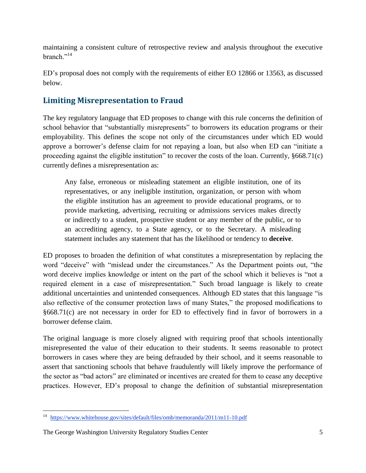maintaining a consistent culture of retrospective review and analysis throughout the executive branch."<sup>14</sup>

ED's proposal does not comply with the requirements of either EO 12866 or 13563, as discussed below.

# **Limiting Misrepresentation to Fraud**

The key regulatory language that ED proposes to change with this rule concerns the definition of school behavior that "substantially misrepresents" to borrowers its education programs or their employability. This defines the scope not only of the circumstances under which ED would approve a borrower's defense claim for not repaying a loan, but also when ED can "initiate a proceeding against the eligible institution" to recover the costs of the loan. Currently, §668.71(c) currently defines a misrepresentation as:

Any false, erroneous or misleading statement an eligible institution, one of its representatives, or any ineligible institution, organization, or person with whom the eligible institution has an agreement to provide educational programs, or to provide marketing, advertising, recruiting or admissions services makes directly or indirectly to a student, prospective student or any member of the public, or to an accrediting agency, to a State agency, or to the Secretary. A misleading statement includes any statement that has the likelihood or tendency to **deceive**.

ED proposes to broaden the definition of what constitutes a misrepresentation by replacing the word "deceive" with "mislead under the circumstances." As the Department points out, "the word deceive implies knowledge or intent on the part of the school which it believes is "not a required element in a case of misrepresentation." Such broad language is likely to create additional uncertainties and unintended consequences. Although ED states that this language "is also reflective of the consumer protection laws of many States," the proposed modifications to §668.71(c) are not necessary in order for ED to effectively find in favor of borrowers in a borrower defense claim.

The original language is more closely aligned with requiring proof that schools intentionally misrepresented the value of their education to their students. It seems reasonable to protect borrowers in cases where they are being defrauded by their school, and it seems reasonable to assert that sanctioning schools that behave fraudulently will likely improve the performance of the sector as "bad actors" are eliminated or incentives are created for them to cease any deceptive practices. However, ED's proposal to change the definition of substantial misrepresentation

 $\overline{a}$ <sup>14</sup> <https://www.whitehouse.gov/sites/default/files/omb/memoranda/2011/m11-10.pdf>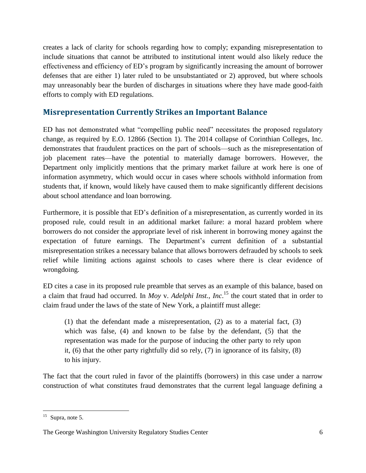creates a lack of clarity for schools regarding how to comply; expanding misrepresentation to include situations that cannot be attributed to institutional intent would also likely reduce the effectiveness and efficiency of ED's program by significantly increasing the amount of borrower defenses that are either 1) later ruled to be unsubstantiated or 2) approved, but where schools may unreasonably bear the burden of discharges in situations where they have made good-faith efforts to comply with ED regulations.

# **Misrepresentation Currently Strikes an Important Balance**

ED has not demonstrated what "compelling public need" necessitates the proposed regulatory change, as required by E.O. 12866 (Section 1). The 2014 collapse of Corinthian Colleges, Inc. demonstrates that fraudulent practices on the part of schools—such as the misrepresentation of job placement rates—have the potential to materially damage borrowers. However, the Department only implicitly mentions that the primary market failure at work here is one of information asymmetry, which would occur in cases where schools withhold information from students that, if known, would likely have caused them to make significantly different decisions about school attendance and loan borrowing.

Furthermore, it is possible that ED's definition of a misrepresentation, as currently worded in its proposed rule, could result in an additional market failure: a moral hazard problem where borrowers do not consider the appropriate level of risk inherent in borrowing money against the expectation of future earnings. The Department's current definition of a substantial misrepresentation strikes a necessary balance that allows borrowers defrauded by schools to seek relief while limiting actions against schools to cases where there is clear evidence of wrongdoing.

ED cites a case in its proposed rule preamble that serves as an example of this balance, based on a claim that fraud had occurred. In *Moy* v. *Adelphi Inst., Inc*. <sup>15</sup> the court stated that in order to claim fraud under the laws of the state of New York, a plaintiff must allege:

(1) that the defendant made a misrepresentation, (2) as to a material fact, (3) which was false, (4) and known to be false by the defendant, (5) that the representation was made for the purpose of inducing the other party to rely upon it, (6) that the other party rightfully did so rely, (7) in ignorance of its falsity, (8) to his injury.

The fact that the court ruled in favor of the plaintiffs (borrowers) in this case under a narrow construction of what constitutes fraud demonstrates that the current legal language defining a

 $\overline{a}$  $15$  Supra, note 5.

The George Washington University Regulatory Studies Center 6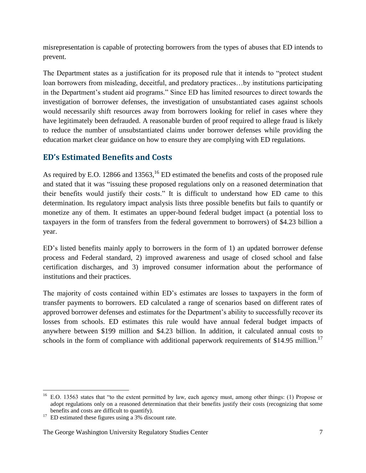misrepresentation is capable of protecting borrowers from the types of abuses that ED intends to prevent.

The Department states as a justification for its proposed rule that it intends to "protect student loan borrowers from misleading, deceitful, and predatory practices…by institutions participating in the Department's student aid programs." Since ED has limited resources to direct towards the investigation of borrower defenses, the investigation of unsubstantiated cases against schools would necessarily shift resources away from borrowers looking for relief in cases where they have legitimately been defrauded. A reasonable burden of proof required to allege fraud is likely to reduce the number of unsubstantiated claims under borrower defenses while providing the education market clear guidance on how to ensure they are complying with ED regulations.

# **ED's Estimated Benefits and Costs**

As required by E.O. 12866 and 13563,  $^{16}$  ED estimated the benefits and costs of the proposed rule and stated that it was "issuing these proposed regulations only on a reasoned determination that their benefits would justify their costs." It is difficult to understand how ED came to this determination. Its regulatory impact analysis lists three possible benefits but fails to quantify or monetize any of them. It estimates an upper-bound federal budget impact (a potential loss to taxpayers in the form of transfers from the federal government to borrowers) of \$4.23 billion a year.

ED's listed benefits mainly apply to borrowers in the form of 1) an updated borrower defense process and Federal standard, 2) improved awareness and usage of closed school and false certification discharges, and 3) improved consumer information about the performance of institutions and their practices.

The majority of costs contained within ED's estimates are losses to taxpayers in the form of transfer payments to borrowers. ED calculated a range of scenarios based on different rates of approved borrower defenses and estimates for the Department's ability to successfully recover its losses from schools. ED estimates this rule would have annual federal budget impacts of anywhere between \$199 million and \$4.23 billion. In addition, it calculated annual costs to schools in the form of compliance with additional paperwork requirements of \$14.95 million.<sup>17</sup>

 $\overline{a}$ 

<sup>&</sup>lt;sup>16</sup> E.O. 13563 states that "to the extent permitted by law, each agency must, among other things: (1) Propose or adopt regulations only on a reasoned determination that their benefits justify their costs (recognizing that some benefits and costs are difficult to quantify).

 $17$  ED estimated these figures using a 3% discount rate.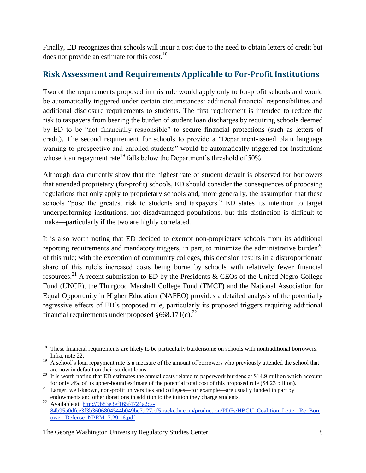Finally, ED recognizes that schools will incur a cost due to the need to obtain letters of credit but does not provide an estimate for this cost.<sup>18</sup>

# **Risk Assessment and Requirements Applicable to For-Profit Institutions**

Two of the requirements proposed in this rule would apply only to for-profit schools and would be automatically triggered under certain circumstances: additional financial responsibilities and additional disclosure requirements to students. The first requirement is intended to reduce the risk to taxpayers from bearing the burden of student loan discharges by requiring schools deemed by ED to be "not financially responsible" to secure financial protections (such as letters of credit). The second requirement for schools to provide a "Department-issued plain language warning to prospective and enrolled students" would be automatically triggered for institutions whose loan repayment rate<sup>19</sup> falls below the Department's threshold of 50%.

Although data currently show that the highest rate of student default is observed for borrowers that attended proprietary (for-profit) schools, ED should consider the consequences of proposing regulations that only apply to proprietary schools and, more generally, the assumption that these schools "pose the greatest risk to students and taxpayers." ED states its intention to target underperforming institutions, not disadvantaged populations, but this distinction is difficult to make—particularly if the two are highly correlated.

It is also worth noting that ED decided to exempt non-proprietary schools from its additional reporting requirements and mandatory triggers, in part, to minimize the administrative burden<sup>20</sup> of this rule; with the exception of community colleges, this decision results in a disproportionate share of this rule's increased costs being borne by schools with relatively fewer financial resources.<sup>21</sup> A recent submission to ED by the Presidents & CEOs of the United Negro College Fund (UNCF), the Thurgood Marshall College Fund (TMCF) and the National Association for Equal Opportunity in Higher Education (NAFEO) provides a detailed analysis of the potentially regressive effects of ED's proposed rule, particularly its proposed triggers requiring additional financial requirements under proposed  $§668.171(c).^{22}$ 

 $\overline{a}$  $18$  These financial requirements are likely to be particularly burdensome on schools with nontraditional borrowers. Infra, note 22.

<sup>&</sup>lt;sup>19</sup> A school's loan repayment rate is a measure of the amount of borrowers who previously attended the school that are now in default on their student loans.

 $20$  It is worth noting that ED estimates the annual costs related to paperwork burdens at \$14.9 million which account for only .4% of its upper-bound estimate of the potential total cost of this proposed rule (\$4.23 billion).

<sup>&</sup>lt;sup>21</sup> Larger, well-known, non-profit universities and colleges—for example—are usually funded in part by endowments and other donations in addition to the tuition they charge students.

<sup>&</sup>lt;sup>22</sup> Available at: [http://9b83e3ef165f4724a2ca-](http://9b83e3ef165f4724a2ca-84b95a0dfce3f3b3606804544b049bc7.r27.cf5.rackcdn.com/production/PDFs/HBCU_Coalition_Letter_Re_Borrower_Defense_NPRM_7.29.16.pdf)[84b95a0dfce3f3b3606804544b049bc7.r27.cf5.rackcdn.com/production/PDFs/HBCU\\_Coalition\\_Letter\\_Re\\_Borr](http://9b83e3ef165f4724a2ca-84b95a0dfce3f3b3606804544b049bc7.r27.cf5.rackcdn.com/production/PDFs/HBCU_Coalition_Letter_Re_Borrower_Defense_NPRM_7.29.16.pdf) [ower\\_Defense\\_NPRM\\_7.29.16.pdf](http://9b83e3ef165f4724a2ca-84b95a0dfce3f3b3606804544b049bc7.r27.cf5.rackcdn.com/production/PDFs/HBCU_Coalition_Letter_Re_Borrower_Defense_NPRM_7.29.16.pdf)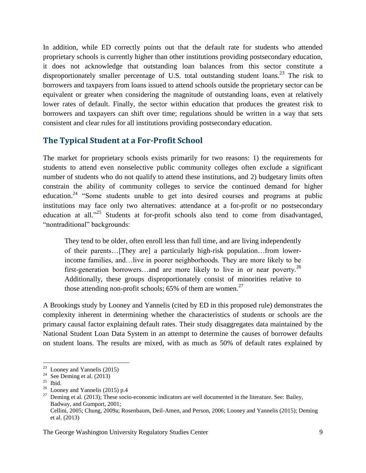In addition, while ED correctly points out that the default rate for students who attended proprietary schools is currently higher than other institutions providing postsecondary education, it does not acknowledge that outstanding loan balances from this sector constitute a disproportionately smaller percentage of U.S. total outstanding student loans.<sup>23</sup> The risk to borrowers and taxpayers from loans issued to attend schools outside the proprietary sector can be equivalent or greater when considering the magnitude of outstanding loans, even at relatively lower rates of default. Finally, the sector within education that produces the greatest risk to borrowers and taxpayers can shift over time; regulations should be written in a way that sets consistent and clear rules for all institutions providing postsecondary education.

#### **The Typical Student at a For-Profit School**

The market for proprietary schools exists primarily for two reasons: 1) the requirements for students to attend even nonselective public community colleges often exclude a significant number of students who do not qualify to attend these institutions, and 2) budgetary limits often constrain the ability of community colleges to service the continued demand for higher education.<sup>24</sup> "Some students unable to get into desired courses and programs at public institutions may face only two alternatives: attendance at a for-profit or no postsecondary education at all."<sup>25</sup> Students at for-profit schools also tend to come from disadvantaged, "nontraditional" backgrounds:

They tend to be older, often enroll less than full time, and are living independently of their parents…[They are] a particularly high-risk population…from lowerincome families, and…live in poorer neighborhoods. They are more likely to be first-generation borrowers...and are more likely to live in or near poverty.<sup>26</sup> Additionally, these groups disproportionately consist of minorities relative to those attending non-profit schools; 65% of them are women.<sup>27</sup>

A Brookings study by Looney and Yannelis (cited by ED in this proposed rule) demonstrates the complexity inherent in determining whether the characteristics of students or schools are the primary causal factor explaining default rates. Their study disaggregates data maintained by the National Student Loan Data System in an attempt to determine the causes of borrower defaults on student loans. The results are mixed, with as much as 50% of default rates explained by

 $\overline{a}$  $23$  Looney and Yannelis (2015)

<sup>&</sup>lt;sup>24</sup> See Deming et al.  $(2013)$ 

 $^{25}$  Ibid.

 $26$  Looney and Yannelis (2015) p.4

 $27$  Deming et al. (2013); These socio-economic indicators are well documented in the literature. See: Bailey, Badway, and Gumport, 2001; Cellini, 2005; Chung, 2009a; Rosenbaum, Deil-Amen, and Person, 2006; Looney and Yannelis (2015); Deming et al. (2013)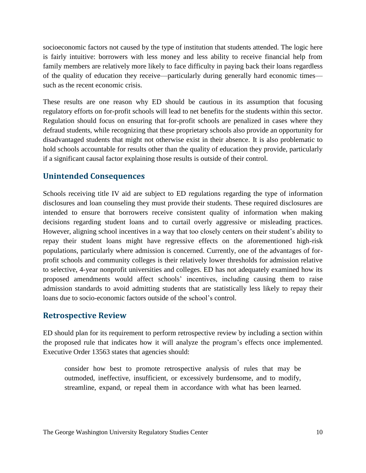socioeconomic factors not caused by the type of institution that students attended. The logic here is fairly intuitive: borrowers with less money and less ability to receive financial help from family members are relatively more likely to face difficulty in paying back their loans regardless of the quality of education they receive—particularly during generally hard economic times such as the recent economic crisis.

These results are one reason why ED should be cautious in its assumption that focusing regulatory efforts on for-profit schools will lead to net benefits for the students within this sector. Regulation should focus on ensuring that for-profit schools are penalized in cases where they defraud students, while recognizing that these proprietary schools also provide an opportunity for disadvantaged students that might not otherwise exist in their absence. It is also problematic to hold schools accountable for results other than the quality of education they provide, particularly if a significant causal factor explaining those results is outside of their control.

#### **Unintended Consequences**

Schools receiving title IV aid are subject to ED regulations regarding the type of information disclosures and loan counseling they must provide their students. These required disclosures are intended to ensure that borrowers receive consistent quality of information when making decisions regarding student loans and to curtail overly aggressive or misleading practices. However, aligning school incentives in a way that too closely centers on their student's ability to repay their student loans might have regressive effects on the aforementioned high-risk populations, particularly where admission is concerned. Currently, one of the advantages of forprofit schools and community colleges is their relatively lower thresholds for admission relative to selective, 4-year nonprofit universities and colleges. ED has not adequately examined how its proposed amendments would affect schools' incentives, including causing them to raise admission standards to avoid admitting students that are statistically less likely to repay their loans due to socio-economic factors outside of the school's control.

#### **Retrospective Review**

ED should plan for its requirement to perform retrospective review by including a section within the proposed rule that indicates how it will analyze the program's effects once implemented. Executive Order 13563 states that agencies should:

consider how best to promote retrospective analysis of rules that may be outmoded, ineffective, insufficient, or excessively burdensome, and to modify, streamline, expand, or repeal them in accordance with what has been learned.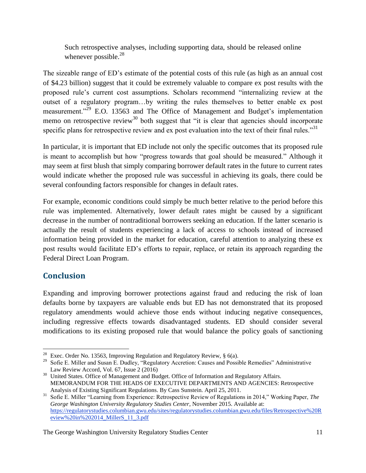Such retrospective analyses, including supporting data, should be released online whenever possible.<sup>28</sup>

The sizeable range of ED's estimate of the potential costs of this rule (as high as an annual cost of \$4.23 billion) suggest that it could be extremely valuable to compare ex post results with the proposed rule's current cost assumptions. Scholars recommend "internalizing review at the outset of a regulatory program…by writing the rules themselves to better enable ex post measurement."<sup>29</sup> E.O. 13563 and The Office of Management and Budget's implementation memo on retrospective review<sup>30</sup> both suggest that "it is clear that agencies should incorporate specific plans for retrospective review and ex post evaluation into the text of their final rules."<sup>31</sup>

In particular, it is important that ED include not only the specific outcomes that its proposed rule is meant to accomplish but how "progress towards that goal should be measured." Although it may seem at first blush that simply comparing borrower default rates in the future to current rates would indicate whether the proposed rule was successful in achieving its goals, there could be several confounding factors responsible for changes in default rates.

For example, economic conditions could simply be much better relative to the period before this rule was implemented. Alternatively, lower default rates might be caused by a significant decrease in the number of nontraditional borrowers seeking an education. If the latter scenario is actually the result of students experiencing a lack of access to schools instead of increased information being provided in the market for education, careful attention to analyzing these ex post results would facilitate ED's efforts to repair, replace, or retain its approach regarding the Federal Direct Loan Program.

# **Conclusion**

Expanding and improving borrower protections against fraud and reducing the risk of loan defaults borne by taxpayers are valuable ends but ED has not demonstrated that its proposed regulatory amendments would achieve those ends without inducing negative consequences, including regressive effects towards disadvantaged students. ED should consider several modifications to its existing proposed rule that would balance the policy goals of sanctioning

 $\overline{a}$ <sup>28</sup> Exec. Order No. 13563, Improving Regulation and Regulatory Review,  $\S$  6(a).

<sup>&</sup>lt;sup>29</sup> Sofie E. Miller and Susan E. Dudley, "Regulatory Accretion: Causes and Possible Remedies" Administrative Law Review Accord, Vol. 67, Issue 2 (2016)

<sup>&</sup>lt;sup>30</sup> United States. Office of Management and Budget. Office of Information and Regulatory Affairs. MEMORANDUM FOR THE HEADS OF EXECUTIVE DEPARTMENTS AND AGENCIES: Retrospective Analysis of Existing Significant Regulations. By Cass Sunstein. April 25, 2011.

<sup>31</sup> Sofie E. Miller "Learning from Experience: Retrospective Review of Regulations in 2014," Working Paper, *The George Washington University Regulatory Studies Center*, November 2015. Available at: [https://regulatorystudies.columbian.gwu.edu/sites/regulatorystudies.columbian.gwu.edu/files/Retrospective%20R](https://regulatorystudies.columbian.gwu.edu/sites/regulatorystudies.columbian.gwu.edu/files/Retrospective%20Review%20in%202014_MillerS_11_3.pdf) [eview%20in%202014\\_MillerS\\_11\\_3.pdf](https://regulatorystudies.columbian.gwu.edu/sites/regulatorystudies.columbian.gwu.edu/files/Retrospective%20Review%20in%202014_MillerS_11_3.pdf)